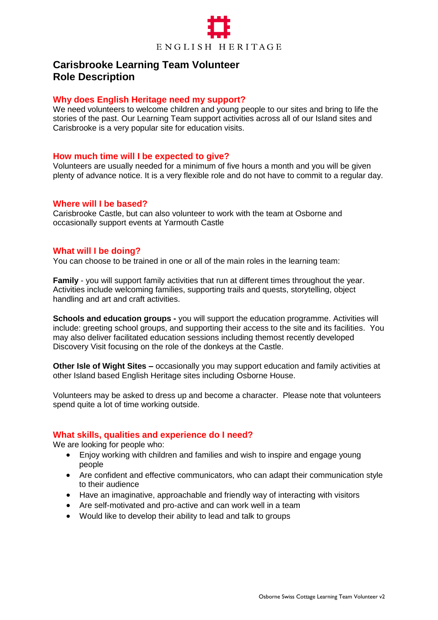

# **Carisbrooke Learning Team Volunteer Role Description**

#### **Why does English Heritage need my support?**

We need volunteers to welcome children and young people to our sites and bring to life the stories of the past. Our Learning Team support activities across all of our Island sites and Carisbrooke is a very popular site for education visits.

#### **How much time will I be expected to give?**

Volunteers are usually needed for a minimum of five hours a month and you will be given plenty of advance notice. It is a very flexible role and do not have to commit to a regular day.

#### **Where will I be based?**

Carisbrooke Castle, but can also volunteer to work with the team at Osborne and occasionally support events at Yarmouth Castle

#### **What will I be doing?**

You can choose to be trained in one or all of the main roles in the learning team:

**Family** - you will support family activities that run at different times throughout the year. Activities include welcoming families, supporting trails and quests, storytelling, object handling and art and craft activities.

**Schools and education groups -** you will support the education programme. Activities will include: greeting school groups, and supporting their access to the site and its facilities. You may also deliver facilitated education sessions including themost recently developed Discovery Visit focusing on the role of the donkeys at the Castle.

**Other Isle of Wight Sites –** occasionally you may support education and family activities at other Island based English Heritage sites including Osborne House.

Volunteers may be asked to dress up and become a character. Please note that volunteers spend quite a lot of time working outside.

#### **What skills, qualities and experience do I need?**

We are looking for people who:

- Enjoy working with children and families and wish to inspire and engage young people
- Are confident and effective communicators, who can adapt their communication style to their audience
- Have an imaginative, approachable and friendly way of interacting with visitors
- Are self-motivated and pro-active and can work well in a team
- Would like to develop their ability to lead and talk to groups